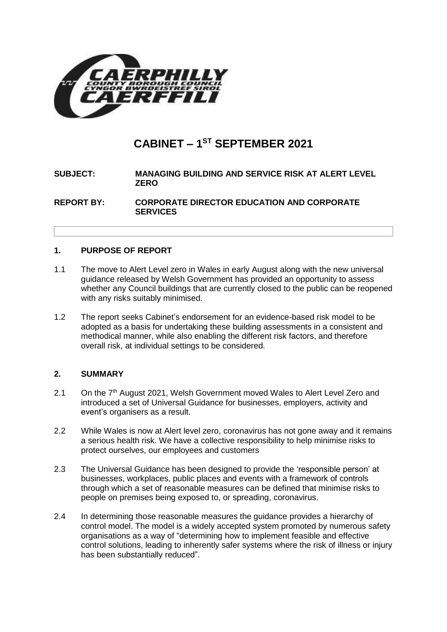

# **CABINET – 1 ST SEPTEMBER 2021**

# **SUBJECT: MANAGING BUILDING AND SERVICE RISK AT ALERT LEVEL ZERO**

**REPORT BY: CORPORATE DIRECTOR EDUCATION AND CORPORATE SERVICES**

## **1. PURPOSE OF REPORT**

- 1.1 The move to Alert Level zero in Wales in early August along with the new universal guidance released by Welsh Government has provided an opportunity to assess whether any Council buildings that are currently closed to the public can be reopened with any risks suitably minimised.
- 1.2 The report seeks Cabinet's endorsement for an evidence-based risk model to be adopted as a basis for undertaking these building assessments in a consistent and methodical manner, while also enabling the different risk factors, and therefore overall risk, at individual settings to be considered.

# **2. SUMMARY**

- 2.1 On the 7<sup>th</sup> August 2021, Welsh Government moved Wales to Alert Level Zero and introduced a set of Universal Guidance for businesses, employers, activity and event's organisers as a result.
- 2.2 While Wales is now at Alert level zero, coronavirus has not gone away and it remains a serious health risk. We have a collective responsibility to help minimise risks to protect ourselves, our employees and customers
- 2.3 The Universal Guidance has been designed to provide the 'responsible person' at businesses, workplaces, public places and events with a framework of controls through which a set of reasonable measures can be defined that minimise risks to people on premises being exposed to, or spreading, coronavirus.
- 2.4 In determining those reasonable measures the guidance provides a hierarchy of control model. The model is a widely accepted system promoted by numerous safety organisations as a way of "determining how to implement feasible and effective control solutions, leading to inherently safer systems where the risk of illness or injury has been substantially reduced".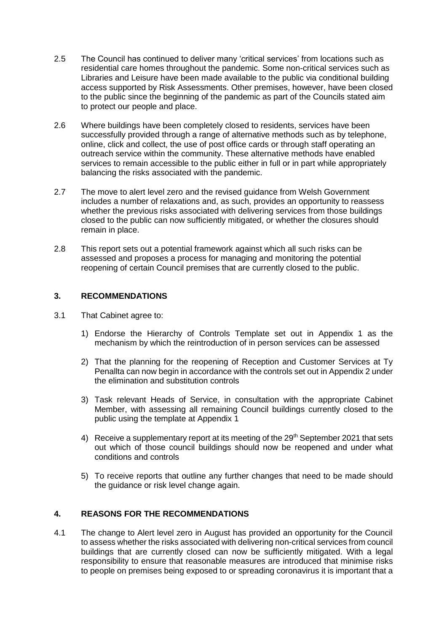- 2.5 The Council has continued to deliver many 'critical services' from locations such as residential care homes throughout the pandemic. Some non-critical services such as Libraries and Leisure have been made available to the public via conditional building access supported by Risk Assessments. Other premises, however, have been closed to the public since the beginning of the pandemic as part of the Councils stated aim to protect our people and place.
- 2.6 Where buildings have been completely closed to residents, services have been successfully provided through a range of alternative methods such as by telephone, online, click and collect, the use of post office cards or through staff operating an outreach service within the community. These alternative methods have enabled services to remain accessible to the public either in full or in part while appropriately balancing the risks associated with the pandemic.
- 2.7 The move to alert level zero and the revised guidance from Welsh Government includes a number of relaxations and, as such, provides an opportunity to reassess whether the previous risks associated with delivering services from those buildings closed to the public can now sufficiently mitigated, or whether the closures should remain in place.
- 2.8 This report sets out a potential framework against which all such risks can be assessed and proposes a process for managing and monitoring the potential reopening of certain Council premises that are currently closed to the public.

#### **3. RECOMMENDATIONS**

- 3.1 That Cabinet agree to:
	- 1) Endorse the Hierarchy of Controls Template set out in Appendix 1 as the mechanism by which the reintroduction of in person services can be assessed
	- 2) That the planning for the reopening of Reception and Customer Services at Ty Penallta can now begin in accordance with the controls set out in Appendix 2 under the elimination and substitution controls
	- 3) Task relevant Heads of Service, in consultation with the appropriate Cabinet Member, with assessing all remaining Council buildings currently closed to the public using the template at Appendix 1
	- 4) Receive a supplementary report at its meeting of the 29<sup>th</sup> September 2021 that sets out which of those council buildings should now be reopened and under what conditions and controls
	- 5) To receive reports that outline any further changes that need to be made should the guidance or risk level change again.

# **4. REASONS FOR THE RECOMMENDATIONS**

4.1 The change to Alert level zero in August has provided an opportunity for the Council to assess whether the risks associated with delivering non-critical services from council buildings that are currently closed can now be sufficiently mitigated. With a legal responsibility to ensure that reasonable measures are introduced that minimise risks to people on premises being exposed to or spreading coronavirus it is important that a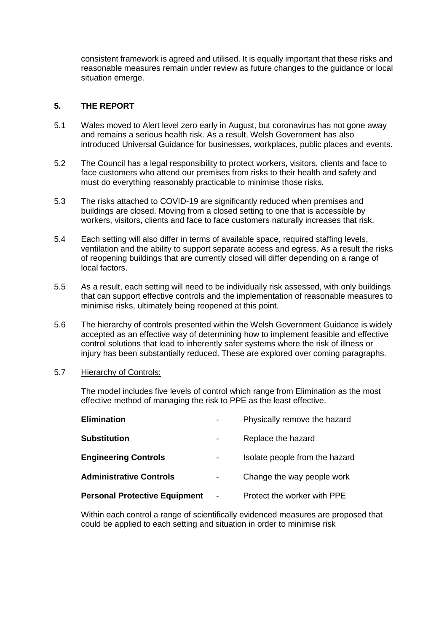consistent framework is agreed and utilised. It is equally important that these risks and reasonable measures remain under review as future changes to the guidance or local situation emerge.

## **5. THE REPORT**

- 5.1 Wales moved to Alert level zero early in August, but coronavirus has not gone away and remains a serious health risk. As a result, Welsh Government has also introduced Universal Guidance for businesses, workplaces, public places and events.
- 5.2 The Council has a legal responsibility to protect workers, visitors, clients and face to face customers who attend our premises from risks to their health and safety and must do everything reasonably practicable to minimise those risks.
- 5.3 The risks attached to COVID-19 are significantly reduced when premises and buildings are closed. Moving from a closed setting to one that is accessible by workers, visitors, clients and face to face customers naturally increases that risk.
- 5.4 Each setting will also differ in terms of available space, required staffing levels, ventilation and the ability to support separate access and egress. As a result the risks of reopening buildings that are currently closed will differ depending on a range of local factors.
- 5.5 As a result, each setting will need to be individually risk assessed, with only buildings that can support effective controls and the implementation of reasonable measures to minimise risks, ultimately being reopened at this point.
- 5.6 The hierarchy of controls presented within the Welsh Government Guidance is widely accepted as an effective way of determining how to implement feasible and effective control solutions that lead to inherently safer systems where the risk of illness or injury has been substantially reduced. These are explored over coming paragraphs.
- 5.7 Hierarchy of Controls:

The model includes five levels of control which range from Elimination as the most effective method of managing the risk to PPE as the least effective.

| <b>Elimination</b>                   |                          | Physically remove the hazard   |
|--------------------------------------|--------------------------|--------------------------------|
| Substitution                         |                          | Replace the hazard             |
| <b>Engineering Controls</b>          |                          | Isolate people from the hazard |
| <b>Administrative Controls</b>       | -                        | Change the way people work     |
| <b>Personal Protective Equipment</b> | $\overline{\phantom{a}}$ | Protect the worker with PPE    |
|                                      |                          |                                |

Within each control a range of scientifically evidenced measures are proposed that could be applied to each setting and situation in order to minimise risk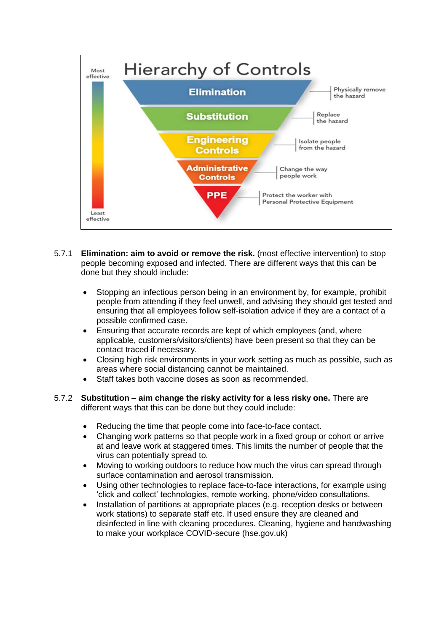

- 5.7.1 **Elimination: aim to avoid or remove the risk.** (most effective intervention) to stop people becoming exposed and infected. There are different ways that this can be done but they should include:
	- Stopping an infectious person being in an environment by, for example, prohibit people from attending if they feel unwell, and advising they should get tested and ensuring that all employees follow self-isolation advice if they are a contact of a possible confirmed case.
	- Ensuring that accurate records are kept of which employees (and, where applicable, customers/visitors/clients) have been present so that they can be contact traced if necessary.
	- Closing high risk environments in your work setting as much as possible, such as areas where social distancing cannot be maintained.
	- Staff takes both vaccine doses as soon as recommended.
- 5.7.2 **Substitution – aim change the risky activity for a less risky one.** There are different ways that this can be done but they could include:
	- Reducing the time that people come into face-to-face contact.
	- Changing work patterns so that people work in a fixed group or cohort or arrive at and leave work at staggered times. This limits the number of people that the virus can potentially spread to.
	- Moving to working outdoors to reduce how much the virus can spread through surface contamination and aerosol transmission.
	- Using other technologies to replace face-to-face interactions, for example using 'click and collect' technologies, remote working, phone/video consultations.
	- Installation of partitions at appropriate places (e.g. reception desks or between work stations) to separate staff etc. If used ensure they are cleaned and disinfected in line with cleaning procedures. [Cleaning, hygiene and handwashing](https://www.hse.gov.uk/coronavirus/cleaning/cleaning-workplace.htm)  [to make your workplace COVID-secure \(hse.gov.uk\)](https://www.hse.gov.uk/coronavirus/cleaning/cleaning-workplace.htm)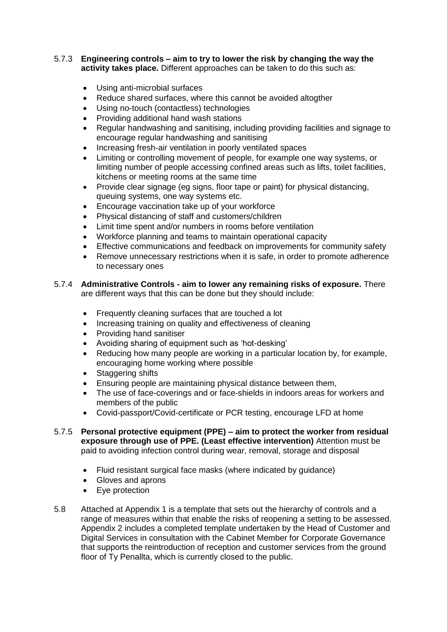#### 5.7.3 **Engineering controls – aim to try to lower the risk by changing the way the activity takes place.** Different approaches can be taken to do this such as:

- Using anti-microbial surfaces
- Reduce shared surfaces, where this cannot be avoided altogther
- Using no-touch (contactless) technologies
- Providing additional hand wash stations
- Regular handwashing and sanitising, including providing facilities and signage to encourage regular handwashing and sanitising
- Increasing fresh-air ventilation in poorly ventilated spaces
- Limiting or controlling movement of people, for example one way systems, or limiting number of people accessing confined areas such as lifts, toilet facilities, kitchens or meeting rooms at the same time
- Provide clear signage (eg signs, floor tape or paint) for physical distancing, queuing systems, one way systems etc.
- Encourage vaccination take up of your workforce
- Physical distancing of staff and customers/children
- Limit time spent and/or numbers in rooms before ventilation
- Workforce planning and teams to maintain operational capacity
- Effective communications and feedback on improvements for community safety
- Remove unnecessary restrictions when it is safe, in order to promote adherence to necessary ones

#### 5.7.4 **Administrative Controls - aim to lower any remaining risks of exposure.** There are different ways that this can be done but they should include:

- Frequently cleaning surfaces that are touched a lot
- Increasing training on quality and effectiveness of cleaning
- Providing hand sanitiser
- Avoiding sharing of equipment such as 'hot-desking'
- Reducing how many people are working in a particular location by, for example, encouraging home working where possible
- Staggering shifts
- Ensuring people are maintaining physical distance between them,
- The use of face-coverings and or face-shields in indoors areas for workers and members of the public
- Covid-passport/Covid-certificate or PCR testing, encourage LFD at home
- 5.7.5 **Personal protective equipment (PPE) – aim to protect the worker from residual exposure through use of PPE. (Least effective intervention)** Attention must be paid to avoiding infection control during wear, removal, storage and disposal
	- Fluid resistant surgical face masks (where indicated by guidance)
	- Gloves and aprons
	- Eve protection
- 5.8 Attached at Appendix 1 is a template that sets out the hierarchy of controls and a range of measures within that enable the risks of reopening a setting to be assessed. Appendix 2 includes a completed template undertaken by the Head of Customer and Digital Services in consultation with the Cabinet Member for Corporate Governance that supports the reintroduction of reception and customer services from the ground floor of Ty Penallta, which is currently closed to the public.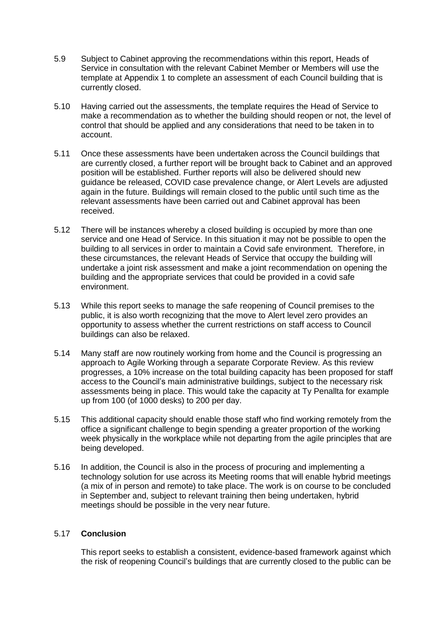- 5.9 Subject to Cabinet approving the recommendations within this report, Heads of Service in consultation with the relevant Cabinet Member or Members will use the template at Appendix 1 to complete an assessment of each Council building that is currently closed.
- 5.10 Having carried out the assessments, the template requires the Head of Service to make a recommendation as to whether the building should reopen or not, the level of control that should be applied and any considerations that need to be taken in to account.
- 5.11 Once these assessments have been undertaken across the Council buildings that are currently closed, a further report will be brought back to Cabinet and an approved position will be established. Further reports will also be delivered should new guidance be released, COVID case prevalence change, or Alert Levels are adjusted again in the future. Buildings will remain closed to the public until such time as the relevant assessments have been carried out and Cabinet approval has been received.
- 5.12 There will be instances whereby a closed building is occupied by more than one service and one Head of Service. In this situation it may not be possible to open the building to all services in order to maintain a Covid safe environment. Therefore, in these circumstances, the relevant Heads of Service that occupy the building will undertake a joint risk assessment and make a joint recommendation on opening the building and the appropriate services that could be provided in a covid safe environment.
- 5.13 While this report seeks to manage the safe reopening of Council premises to the public, it is also worth recognizing that the move to Alert level zero provides an opportunity to assess whether the current restrictions on staff access to Council buildings can also be relaxed.
- 5.14 Many staff are now routinely working from home and the Council is progressing an approach to Agile Working through a separate Corporate Review. As this review progresses, a 10% increase on the total building capacity has been proposed for staff access to the Council's main administrative buildings, subject to the necessary risk assessments being in place. This would take the capacity at Ty Penallta for example up from 100 (of 1000 desks) to 200 per day.
- 5.15 This additional capacity should enable those staff who find working remotely from the office a significant challenge to begin spending a greater proportion of the working week physically in the workplace while not departing from the agile principles that are being developed.
- 5.16 In addition, the Council is also in the process of procuring and implementing a technology solution for use across its Meeting rooms that will enable hybrid meetings (a mix of in person and remote) to take place. The work is on course to be concluded in September and, subject to relevant training then being undertaken, hybrid meetings should be possible in the very near future.

#### 5.17 **Conclusion**

This report seeks to establish a consistent, evidence-based framework against which the risk of reopening Council's buildings that are currently closed to the public can be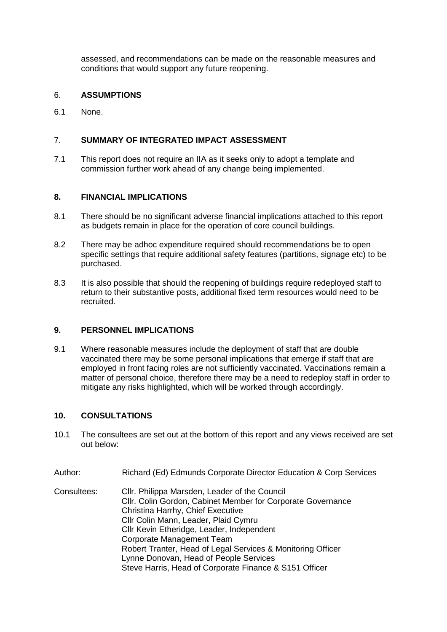assessed, and recommendations can be made on the reasonable measures and conditions that would support any future reopening.

#### 6. **ASSUMPTIONS**

6.1 None.

## 7. **SUMMARY OF INTEGRATED IMPACT ASSESSMENT**

7.1 This report does not require an IIA as it seeks only to adopt a template and commission further work ahead of any change being implemented.

#### **8. FINANCIAL IMPLICATIONS**

- 8.1 There should be no significant adverse financial implications attached to this report as budgets remain in place for the operation of core council buildings.
- 8.2 There may be adhoc expenditure required should recommendations be to open specific settings that require additional safety features (partitions, signage etc) to be purchased.
- 8.3 It is also possible that should the reopening of buildings require redeployed staff to return to their substantive posts, additional fixed term resources would need to be recruited.

#### **9. PERSONNEL IMPLICATIONS**

9.1 Where reasonable measures include the deployment of staff that are double vaccinated there may be some personal implications that emerge if staff that are employed in front facing roles are not sufficiently vaccinated. Vaccinations remain a matter of personal choice, therefore there may be a need to redeploy staff in order to mitigate any risks highlighted, which will be worked through accordingly.

#### **10. CONSULTATIONS**

- 10.1 The consultees are set out at the bottom of this report and any views received are set out below:
- Author: Richard (Ed) Edmunds Corporate Director Education & Corp Services

Consultees: Cllr. Philippa Marsden, Leader of the Council Cllr. Colin Gordon, Cabinet Member for Corporate Governance Christina Harrhy, Chief Executive Cllr Colin Mann, Leader, Plaid Cymru Cllr Kevin Etheridge, Leader, Independent Corporate Management Team Robert Tranter, Head of Legal Services & Monitoring Officer Lynne Donovan, Head of People Services Steve Harris, Head of Corporate Finance & S151 Officer